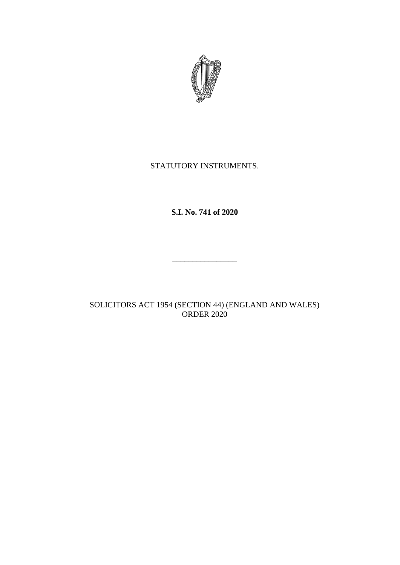

## STATUTORY INSTRUMENTS.

# **S.I. No. 741 of 2020**

\_\_\_\_\_\_\_\_\_\_\_\_\_\_\_\_

SOLICITORS ACT 1954 (SECTION 44) (ENGLAND AND WALES) ORDER 2020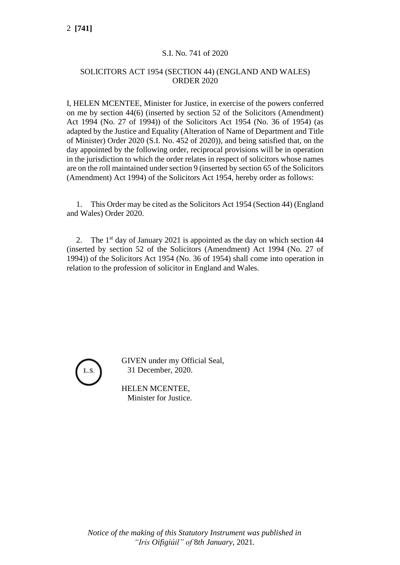## S.I. No. 741 of 2020

#### SOLICITORS ACT 1954 (SECTION 44) (ENGLAND AND WALES) ORDER 2020

I, HELEN MCENTEE, Minister for Justice, in exercise of the powers conferred on me by section 44(6) (inserted by section 52 of the Solicitors (Amendment) Act 1994 (No. 27 of 1994)) of the Solicitors Act 1954 (No. 36 of 1954) (as adapted by the Justice and Equality (Alteration of Name of Department and Title of Minister) Order 2020 (S.I. No. 452 of 2020)), and being satisfied that, on the day appointed by the following order, reciprocal provisions will be in operation in the jurisdiction to which the order relates in respect of solicitors whose names are on the roll maintained under section 9 (inserted by section 65 of the Solicitors (Amendment) Act 1994) of the Solicitors Act 1954, hereby order as follows:

1. This Order may be cited as the Solicitors Act 1954 (Section 44) (England and Wales) Order 2020.

2. The  $1<sup>st</sup>$  day of January 2021 is appointed as the day on which section 44 (inserted by section 52 of the Solicitors (Amendment) Act 1994 (No. 27 of 1994)) of the Solicitors Act 1954 (No. 36 of 1954) shall come into operation in relation to the profession of solicitor in England and Wales.



GIVEN under my Official Seal, 31 December, 2020.

HELEN MCENTEE, Minister for Justice.

2 **[741]**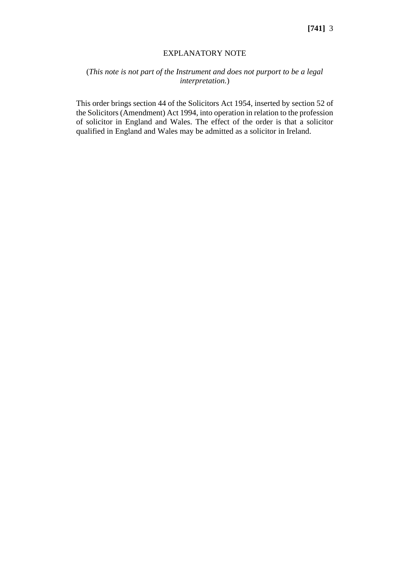#### EXPLANATORY NOTE

## (*This note is not part of the Instrument and does not purport to be a legal interpretation.*)

This order brings [section 44](http://www.irishstatutebook.ie/1954/en/act/pub/0036/sec0044.html#sec44) of the [Solicitors Act 1954,](http://www.irishstatutebook.ie/1954/en/act/pub/0036/index.html) inserted by [section 52](http://www.irishstatutebook.ie/1994/en/act/pub/0027/sec0052.html#sec52) of th[e Solicitors \(Amendment\) Act 1994,](http://www.irishstatutebook.ie/1994/en/act/pub/0027/index.html) into operation in relation to the profession of solicitor in England and Wales. The effect of the order is that a solicitor qualified in England and Wales may be admitted as a solicitor in Ireland.